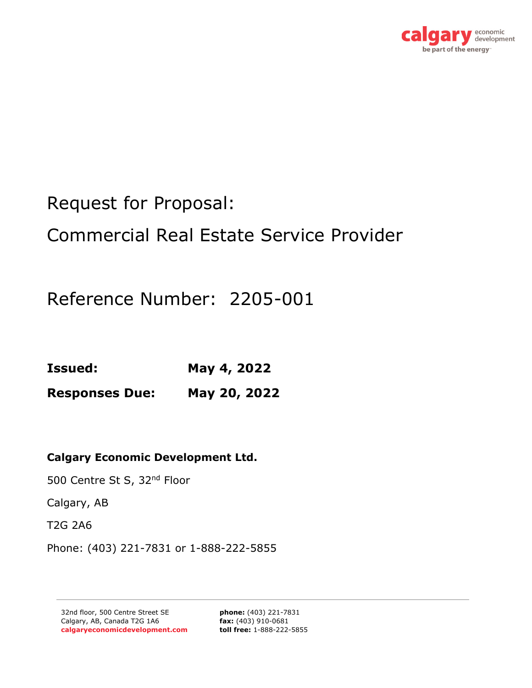

# Request for Proposal:

# Commercial Real Estate Service Provider

Reference Number: 2205-001

**Issued: May 4, 2022** 

**Responses Due: May 20, 2022** 

## **Calgary Economic Development Ltd.**

500 Centre St S, 32<sup>nd</sup> Floor

Calgary, AB

T2G 2A6

Phone: (403) 221-7831 or 1-888-222-5855

**phone:** (403) 221-7831 **fax:** (403) 910-0681 **toll free:** 1-888-222-5855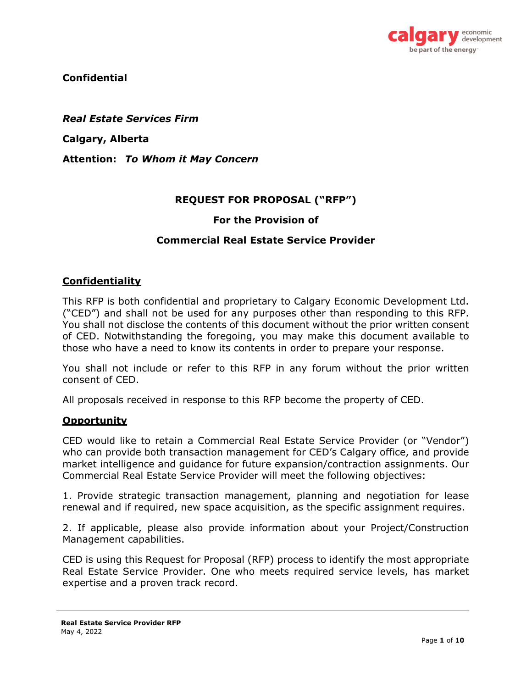

**Confidential** 

*Real Estate Services Firm* 

**Calgary, Alberta** 

**Attention:** *To Whom it May Concern* 

## **REQUEST FOR PROPOSAL ("RFP")**

#### **For the Provision of**

#### **Commercial Real Estate Service Provider**

#### **Confidentiality**

This RFP is both confidential and proprietary to Calgary Economic Development Ltd. ("CED") and shall not be used for any purposes other than responding to this RFP. You shall not disclose the contents of this document without the prior written consent of CED. Notwithstanding the foregoing, you may make this document available to those who have a need to know its contents in order to prepare your response.

You shall not include or refer to this RFP in any forum without the prior written consent of CED.

All proposals received in response to this RFP become the property of CED.

#### **Opportunity**

CED would like to retain a Commercial Real Estate Service Provider (or "Vendor") who can provide both transaction management for CED's Calgary office, and provide market intelligence and guidance for future expansion/contraction assignments. Our Commercial Real Estate Service Provider will meet the following objectives:

1. Provide strategic transaction management, planning and negotiation for lease renewal and if required, new space acquisition, as the specific assignment requires.

2. If applicable, please also provide information about your Project/Construction Management capabilities.

CED is using this Request for Proposal (RFP) process to identify the most appropriate Real Estate Service Provider. One who meets required service levels, has market expertise and a proven track record.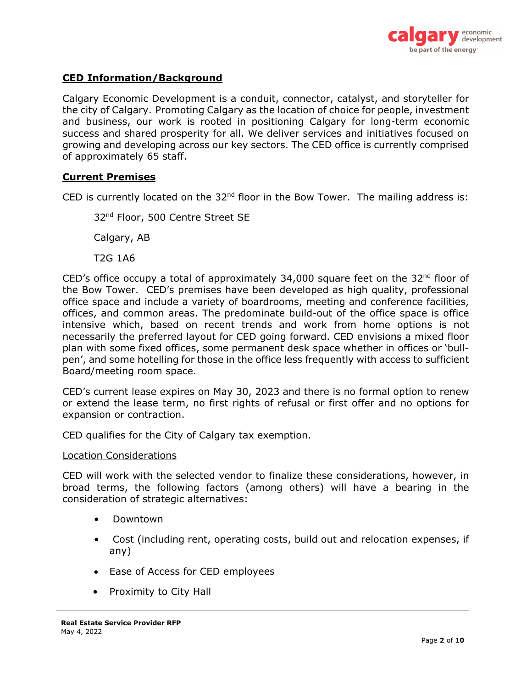

## **CED Information/Background**

Calgary Economic Development is a conduit, connector, catalyst, and storyteller for the city of Calgary. Promoting Calgary as the location of choice for people, investment and business, our work is rooted in positioning Calgary for long-term economic success and shared prosperity for all. We deliver services and initiatives focused on growing and developing across our key sectors. The CED office is currently comprised of approximately 65 staff.

#### **Current Premises**

CED is currently located on the  $32<sup>nd</sup>$  floor in the Bow Tower. The mailing address is:

32<sup>nd</sup> Floor, 500 Centre Street SE Calgary, AB T2G 1A6

CED's office occupy a total of approximately 34,000 square feet on the  $32<sup>nd</sup>$  floor of the Bow Tower. CED's premises have been developed as high quality, professional office space and include a variety of boardrooms, meeting and conference facilities, offices, and common areas. The predominate build-out of the office space is office intensive which, based on recent trends and work from home options is not necessarily the preferred layout for CED going forward. CED envisions a mixed floor plan with some fixed offices, some permanent desk space whether in offices or 'bullpen', and some hotelling for those in the office less frequently with access to sufficient Board/meeting room space.

CED's current lease expires on May 30, 2023 and there is no formal option to renew or extend the lease term, no first rights of refusal or first offer and no options for expansion or contraction.

CED qualifies for the City of Calgary tax exemption.

#### Location Considerations

CED will work with the selected vendor to finalize these considerations, however, in broad terms, the following factors (among others) will have a bearing in the consideration of strategic alternatives:

- Downtown
- Cost (including rent, operating costs, build out and relocation expenses, if any)
- Ease of Access for CED employees
- Proximity to City Hall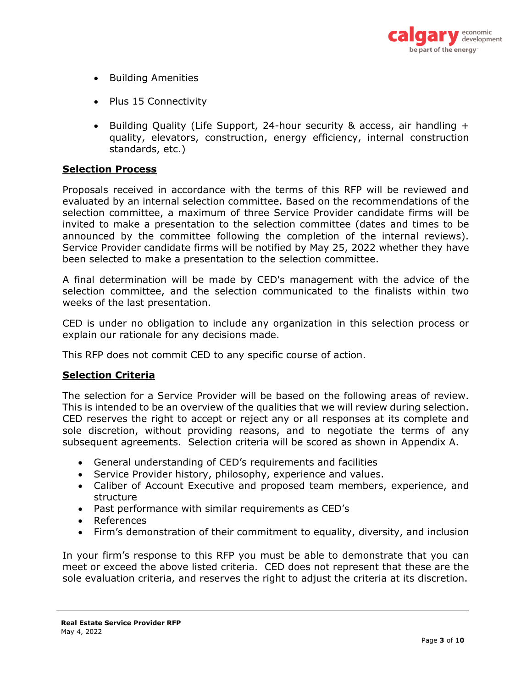

- Building Amenities
- Plus 15 Connectivity
- **•** Building Quality (Life Support, 24-hour security  $\&$  access, air handling  $+$ quality, elevators, construction, energy efficiency, internal construction standards, etc.)

#### **Selection Process**

Proposals received in accordance with the terms of this RFP will be reviewed and evaluated by an internal selection committee. Based on the recommendations of the selection committee, a maximum of three Service Provider candidate firms will be invited to make a presentation to the selection committee (dates and times to be announced by the committee following the completion of the internal reviews). Service Provider candidate firms will be notified by May 25, 2022 whether they have been selected to make a presentation to the selection committee.

A final determination will be made by CED's management with the advice of the selection committee, and the selection communicated to the finalists within two weeks of the last presentation.

CED is under no obligation to include any organization in this selection process or explain our rationale for any decisions made.

This RFP does not commit CED to any specific course of action.

#### **Selection Criteria**

The selection for a Service Provider will be based on the following areas of review. This is intended to be an overview of the qualities that we will review during selection. CED reserves the right to accept or reject any or all responses at its complete and sole discretion, without providing reasons, and to negotiate the terms of any subsequent agreements. Selection criteria will be scored as shown in Appendix A.

- General understanding of CED's requirements and facilities
- Service Provider history, philosophy, experience and values.
- Caliber of Account Executive and proposed team members, experience, and structure
- Past performance with similar requirements as CED's
- References
- Firm's demonstration of their commitment to equality, diversity, and inclusion

In your firm's response to this RFP you must be able to demonstrate that you can meet or exceed the above listed criteria. CED does not represent that these are the sole evaluation criteria, and reserves the right to adjust the criteria at its discretion.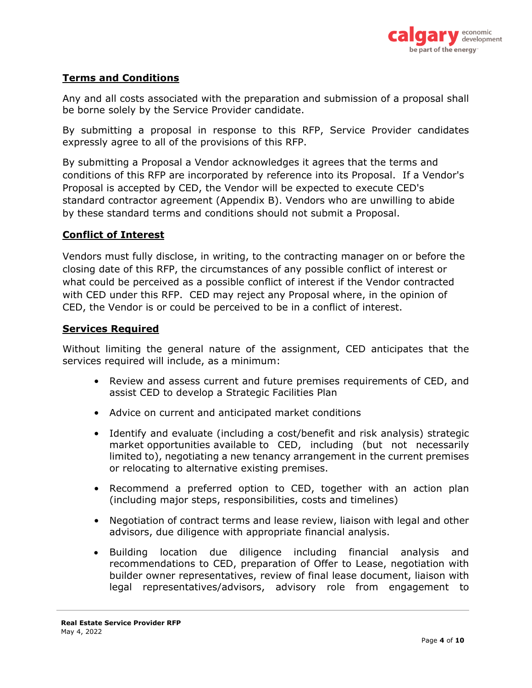

## **Terms and Conditions**

Any and all costs associated with the preparation and submission of a proposal shall be borne solely by the Service Provider candidate.

By submitting a proposal in response to this RFP, Service Provider candidates expressly agree to all of the provisions of this RFP.

By submitting a Proposal a Vendor acknowledges it agrees that the terms and conditions of this RFP are incorporated by reference into its Proposal. If a Vendor's Proposal is accepted by CED, the Vendor will be expected to execute CED's standard contractor agreement (Appendix B). Vendors who are unwilling to abide by these standard terms and conditions should not submit a Proposal.

## **Conflict of Interest**

Vendors must fully disclose, in writing, to the contracting manager on or before the closing date of this RFP, the circumstances of any possible conflict of interest or what could be perceived as a possible conflict of interest if the Vendor contracted with CED under this RFP. CED may reject any Proposal where, in the opinion of CED, the Vendor is or could be perceived to be in a conflict of interest.

#### **Services Required**

Without limiting the general nature of the assignment, CED anticipates that the services required will include, as a minimum:

- Review and assess current and future premises requirements of CED, and assist CED to develop a Strategic Facilities Plan
- Advice on current and anticipated market conditions
- Identify and evaluate (including a cost/benefit and risk analysis) strategic market opportunities available to CED, including (but not necessarily limited to), negotiating a new tenancy arrangement in the current premises or relocating to alternative existing premises.
- Recommend a preferred option to CED, together with an action plan (including major steps, responsibilities, costs and timelines)
- Negotiation of contract terms and lease review, liaison with legal and other advisors, due diligence with appropriate financial analysis.
- Building location due diligence including financial analysis and recommendations to CED, preparation of Offer to Lease, negotiation with builder owner representatives, review of final lease document, liaison with legal representatives/advisors, advisory role from engagement to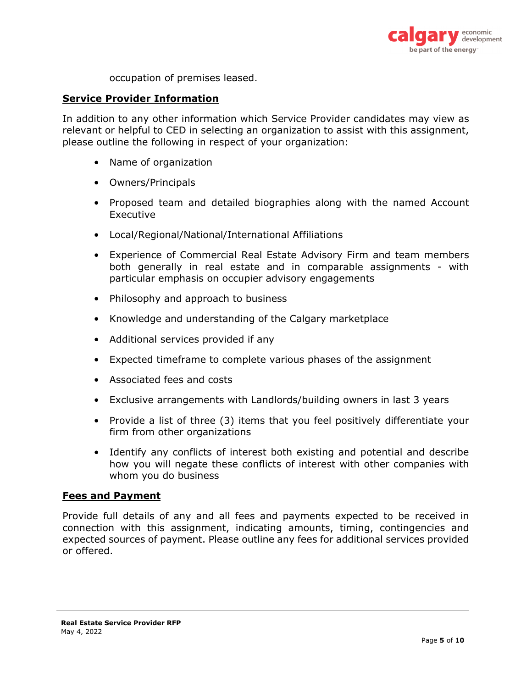

occupation of premises leased.

#### **Service Provider Information**

In addition to any other information which Service Provider candidates may view as relevant or helpful to CED in selecting an organization to assist with this assignment, please outline the following in respect of your organization:

- Name of organization
- Owners/Principals
- Proposed team and detailed biographies along with the named Account Executive
- Local/Regional/National/International Affiliations
- Experience of Commercial Real Estate Advisory Firm and team members both generally in real estate and in comparable assignments - with particular emphasis on occupier advisory engagements
- Philosophy and approach to business
- Knowledge and understanding of the Calgary marketplace
- Additional services provided if any
- Expected timeframe to complete various phases of the assignment
- Associated fees and costs
- Exclusive arrangements with Landlords/building owners in last 3 years
- Provide a list of three (3) items that you feel positively differentiate your firm from other organizations
- Identify any conflicts of interest both existing and potential and describe how you will negate these conflicts of interest with other companies with whom you do business

#### **Fees and Payment**

Provide full details of any and all fees and payments expected to be received in connection with this assignment, indicating amounts, timing, contingencies and expected sources of payment. Please outline any fees for additional services provided or offered.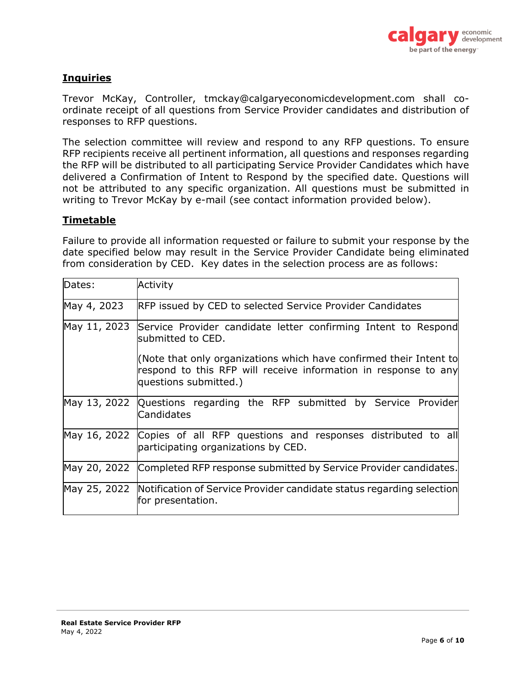

## **Inquiries**

Trevor McKay, Controller, tmckay@calgaryeconomicdevelopment.com shall coordinate receipt of all questions from Service Provider candidates and distribution of responses to RFP questions.

The selection committee will review and respond to any RFP questions. To ensure RFP recipients receive all pertinent information, all questions and responses regarding the RFP will be distributed to all participating Service Provider Candidates which have delivered a Confirmation of Intent to Respond by the specified date. Questions will not be attributed to any specific organization. All questions must be submitted in writing to Trevor McKay by e-mail (see contact information provided below).

## **Timetable**

Failure to provide all information requested or failure to submit your response by the date specified below may result in the Service Provider Candidate being eliminated from consideration by CED. Key dates in the selection process are as follows:

| Dates:       | Activity                                                                                                                                                       |  |  |
|--------------|----------------------------------------------------------------------------------------------------------------------------------------------------------------|--|--|
| May 4, 2023  | <b>RFP issued by CED to selected Service Provider Candidates</b>                                                                                               |  |  |
| May 11, 2023 | Service Provider candidate letter confirming Intent to Respond<br>lsubmitted to CED.                                                                           |  |  |
|              | (Note that only organizations which have confirmed their Intent to<br>respond to this RFP will receive information in response to any<br>questions submitted.) |  |  |
|              | May 13, 2022 Questions regarding the RFP submitted by Service Provider<br>Candidates                                                                           |  |  |
|              | May 16, 2022 Copies of all RFP questions and responses distributed to all<br>participating organizations by CED.                                               |  |  |
|              | May 20, 2022 Completed RFP response submitted by Service Provider candidates.                                                                                  |  |  |
|              | May 25, 2022 Notification of Service Provider candidate status regarding selection<br>for presentation.                                                        |  |  |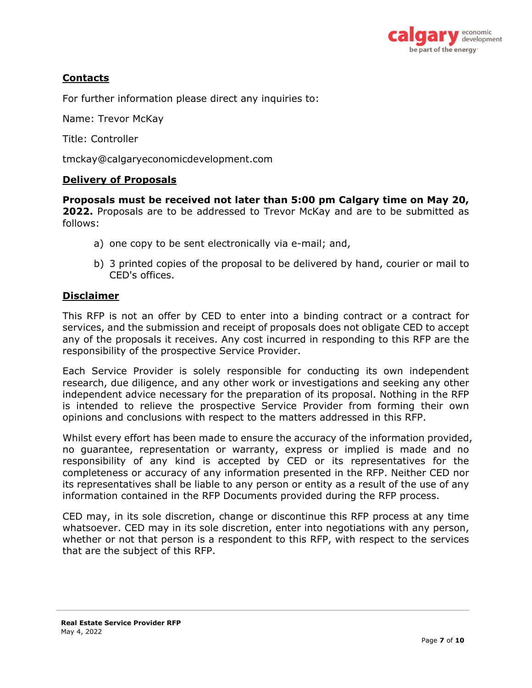

## **Contacts**

For further information please direct any inquiries to:

Name: Trevor McKay

Title: Controller

tmckay@calgaryeconomicdevelopment.com

#### **Delivery of Proposals**

**Proposals must be received not later than 5:00 pm Calgary time on May 20, 2022.** Proposals are to be addressed to Trevor McKay and are to be submitted as follows:

- a) one copy to be sent electronically via e-mail; and,
- b) 3 printed copies of the proposal to be delivered by hand, courier or mail to CED's offices.

#### **Disclaimer**

This RFP is not an offer by CED to enter into a binding contract or a contract for services, and the submission and receipt of proposals does not obligate CED to accept any of the proposals it receives. Any cost incurred in responding to this RFP are the responsibility of the prospective Service Provider.

Each Service Provider is solely responsible for conducting its own independent research, due diligence, and any other work or investigations and seeking any other independent advice necessary for the preparation of its proposal. Nothing in the RFP is intended to relieve the prospective Service Provider from forming their own opinions and conclusions with respect to the matters addressed in this RFP.

Whilst every effort has been made to ensure the accuracy of the information provided, no guarantee, representation or warranty, express or implied is made and no responsibility of any kind is accepted by CED or its representatives for the completeness or accuracy of any information presented in the RFP. Neither CED nor its representatives shall be liable to any person or entity as a result of the use of any information contained in the RFP Documents provided during the RFP process.

CED may, in its sole discretion, change or discontinue this RFP process at any time whatsoever. CED may in its sole discretion, enter into negotiations with any person, whether or not that person is a respondent to this RFP, with respect to the services that are the subject of this RFP.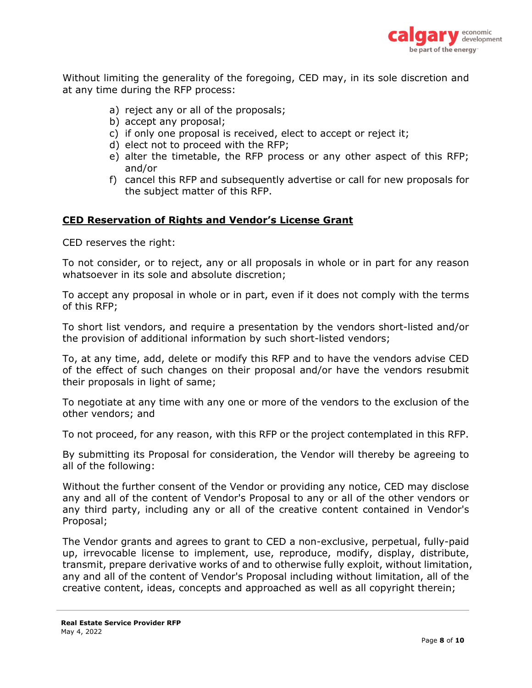

Without limiting the generality of the foregoing, CED may, in its sole discretion and at any time during the RFP process:

- a) reject any or all of the proposals;
- b) accept any proposal;
- c) if only one proposal is received, elect to accept or reject it;
- d) elect not to proceed with the RFP;
- e) alter the timetable, the RFP process or any other aspect of this RFP; and/or
- f) cancel this RFP and subsequently advertise or call for new proposals for the subject matter of this RFP.

#### **CED Reservation of Rights and Vendor's License Grant**

CED reserves the right:

To not consider, or to reject, any or all proposals in whole or in part for any reason whatsoever in its sole and absolute discretion;

To accept any proposal in whole or in part, even if it does not comply with the terms of this RFP;

To short list vendors, and require a presentation by the vendors short-listed and/or the provision of additional information by such short-listed vendors;

To, at any time, add, delete or modify this RFP and to have the vendors advise CED of the effect of such changes on their proposal and/or have the vendors resubmit their proposals in light of same;

To negotiate at any time with any one or more of the vendors to the exclusion of the other vendors; and

To not proceed, for any reason, with this RFP or the project contemplated in this RFP.

By submitting its Proposal for consideration, the Vendor will thereby be agreeing to all of the following:

Without the further consent of the Vendor or providing any notice, CED may disclose any and all of the content of Vendor's Proposal to any or all of the other vendors or any third party, including any or all of the creative content contained in Vendor's Proposal;

The Vendor grants and agrees to grant to CED a non-exclusive, perpetual, fully-paid up, irrevocable license to implement, use, reproduce, modify, display, distribute, transmit, prepare derivative works of and to otherwise fully exploit, without limitation, any and all of the content of Vendor's Proposal including without limitation, all of the creative content, ideas, concepts and approached as well as all copyright therein;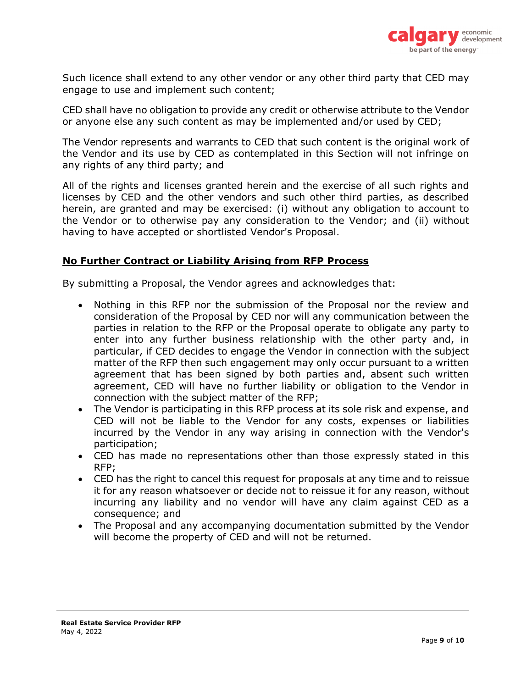

Such licence shall extend to any other vendor or any other third party that CED may engage to use and implement such content;

CED shall have no obligation to provide any credit or otherwise attribute to the Vendor or anyone else any such content as may be implemented and/or used by CED;

The Vendor represents and warrants to CED that such content is the original work of the Vendor and its use by CED as contemplated in this Section will not infringe on any rights of any third party; and

All of the rights and licenses granted herein and the exercise of all such rights and licenses by CED and the other vendors and such other third parties, as described herein, are granted and may be exercised: (i) without any obligation to account to the Vendor or to otherwise pay any consideration to the Vendor; and (ii) without having to have accepted or shortlisted Vendor's Proposal.

## **No Further Contract or Liability Arising from RFP Process**

By submitting a Proposal, the Vendor agrees and acknowledges that:

- Nothing in this RFP nor the submission of the Proposal nor the review and consideration of the Proposal by CED nor will any communication between the parties in relation to the RFP or the Proposal operate to obligate any party to enter into any further business relationship with the other party and, in particular, if CED decides to engage the Vendor in connection with the subject matter of the RFP then such engagement may only occur pursuant to a written agreement that has been signed by both parties and, absent such written agreement, CED will have no further liability or obligation to the Vendor in connection with the subject matter of the RFP;
- The Vendor is participating in this RFP process at its sole risk and expense, and CED will not be liable to the Vendor for any costs, expenses or liabilities incurred by the Vendor in any way arising in connection with the Vendor's participation;
- CED has made no representations other than those expressly stated in this RFP;
- CED has the right to cancel this request for proposals at any time and to reissue it for any reason whatsoever or decide not to reissue it for any reason, without incurring any liability and no vendor will have any claim against CED as a consequence; and
- The Proposal and any accompanying documentation submitted by the Vendor will become the property of CED and will not be returned.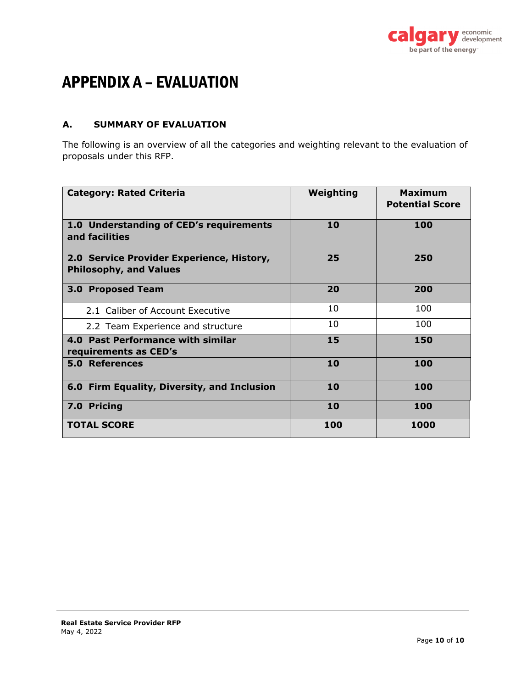

## APPENDIX A – EVALUATION

## **A. SUMMARY OF EVALUATION**

The following is an overview of all the categories and weighting relevant to the evaluation of proposals under this RFP.

| <b>Category: Rated Criteria</b>                                            | Weighting | <b>Maximum</b><br><b>Potential Score</b> |
|----------------------------------------------------------------------------|-----------|------------------------------------------|
| 1.0 Understanding of CED's requirements<br>and facilities                  | 10        | 100                                      |
| 2.0 Service Provider Experience, History,<br><b>Philosophy, and Values</b> | 25        | 250                                      |
| <b>3.0 Proposed Team</b>                                                   | 20        | 200                                      |
| 2.1 Caliber of Account Executive                                           | 10        | 100                                      |
| 2.2 Team Experience and structure                                          | 10        | 100                                      |
| 4.0 Past Performance with similar<br>requirements as CED's                 | 15        | 150                                      |
| <b>5.0 References</b>                                                      | 10        | 100                                      |
| 6.0 Firm Equality, Diversity, and Inclusion                                | 10        | 100                                      |
| 7.0 Pricing                                                                | 10        | 100                                      |
| <b>TOTAL SCORE</b>                                                         | 100       | 1000                                     |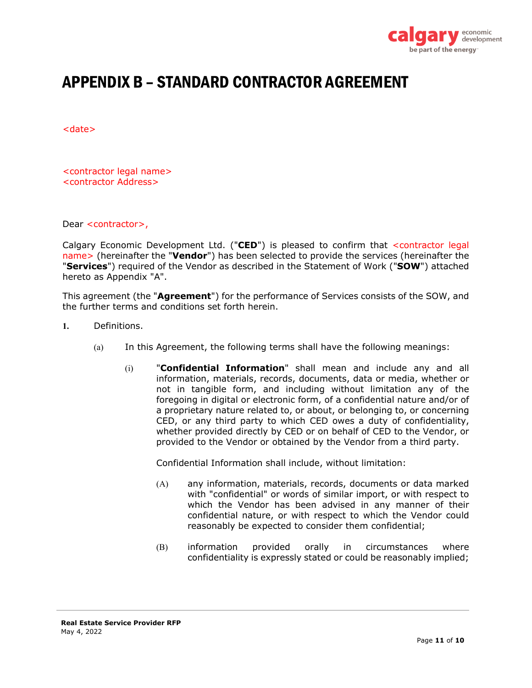

## APPENDIX B – STANDARD CONTRACTOR AGREEMENT

<date>

<contractor legal name> <contractor Address>

Dear <contractor>,

Calgary Economic Development Ltd. ("**CED**") is pleased to confirm that <contractor legal name> (hereinafter the "**Vendor**") has been selected to provide the services (hereinafter the "**Services**") required of the Vendor as described in the Statement of Work ("**SOW**") attached hereto as Appendix "A".

This agreement (the "**Agreement**") for the performance of Services consists of the SOW, and the further terms and conditions set forth herein.

- **1.** Definitions.
	- (a) In this Agreement, the following terms shall have the following meanings:
		- (i) "**Confidential Information**" shall mean and include any and all information, materials, records, documents, data or media, whether or not in tangible form, and including without limitation any of the foregoing in digital or electronic form, of a confidential nature and/or of a proprietary nature related to, or about, or belonging to, or concerning CED, or any third party to which CED owes a duty of confidentiality, whether provided directly by CED or on behalf of CED to the Vendor, or provided to the Vendor or obtained by the Vendor from a third party.

Confidential Information shall include, without limitation:

- (A) any information, materials, records, documents or data marked with "confidential" or words of similar import, or with respect to which the Vendor has been advised in any manner of their confidential nature, or with respect to which the Vendor could reasonably be expected to consider them confidential;
- (B) information provided orally in circumstances where confidentiality is expressly stated or could be reasonably implied;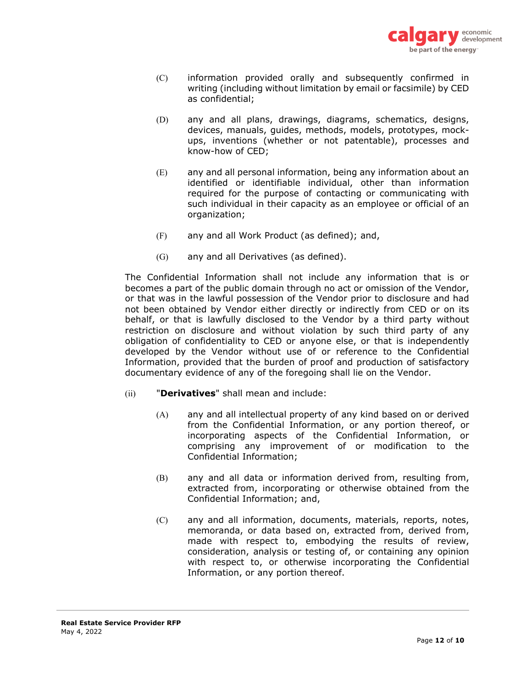

- (C) information provided orally and subsequently confirmed in writing (including without limitation by email or facsimile) by CED as confidential;
- (D) any and all plans, drawings, diagrams, schematics, designs, devices, manuals, guides, methods, models, prototypes, mockups, inventions (whether or not patentable), processes and know-how of CED;
- (E) any and all personal information, being any information about an identified or identifiable individual, other than information required for the purpose of contacting or communicating with such individual in their capacity as an employee or official of an organization;
- (F) any and all Work Product (as defined); and,
- (G) any and all Derivatives (as defined).

The Confidential Information shall not include any information that is or becomes a part of the public domain through no act or omission of the Vendor, or that was in the lawful possession of the Vendor prior to disclosure and had not been obtained by Vendor either directly or indirectly from CED or on its behalf, or that is lawfully disclosed to the Vendor by a third party without restriction on disclosure and without violation by such third party of any obligation of confidentiality to CED or anyone else, or that is independently developed by the Vendor without use of or reference to the Confidential Information, provided that the burden of proof and production of satisfactory documentary evidence of any of the foregoing shall lie on the Vendor.

- (ii) "**Derivatives**" shall mean and include:
	- (A) any and all intellectual property of any kind based on or derived from the Confidential Information, or any portion thereof, or incorporating aspects of the Confidential Information, or comprising any improvement of or modification to the Confidential Information;
	- (B) any and all data or information derived from, resulting from, extracted from, incorporating or otherwise obtained from the Confidential Information; and,
	- (C) any and all information, documents, materials, reports, notes, memoranda, or data based on, extracted from, derived from, made with respect to, embodying the results of review, consideration, analysis or testing of, or containing any opinion with respect to, or otherwise incorporating the Confidential Information, or any portion thereof.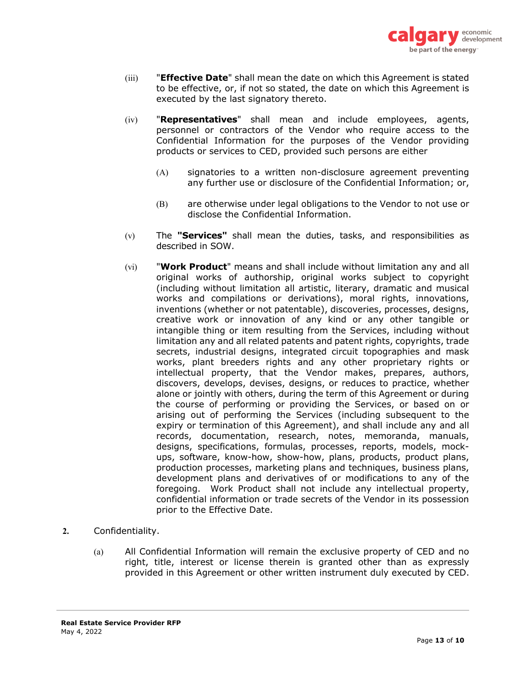

- (iii) "**Effective Date**" shall mean the date on which this Agreement is stated to be effective, or, if not so stated, the date on which this Agreement is executed by the last signatory thereto.
- (iv) "**Representatives**" shall mean and include employees, agents, personnel or contractors of the Vendor who require access to the Confidential Information for the purposes of the Vendor providing products or services to CED, provided such persons are either
	- (A) signatories to a written non-disclosure agreement preventing any further use or disclosure of the Confidential Information; or,
	- (B) are otherwise under legal obligations to the Vendor to not use or disclose the Confidential Information.
- (v) The **"Services"** shall mean the duties, tasks, and responsibilities as described in SOW.
- (vi) "**Work Product**" means and shall include without limitation any and all original works of authorship, original works subject to copyright (including without limitation all artistic, literary, dramatic and musical works and compilations or derivations), moral rights, innovations, inventions (whether or not patentable), discoveries, processes, designs, creative work or innovation of any kind or any other tangible or intangible thing or item resulting from the Services, including without limitation any and all related patents and patent rights, copyrights, trade secrets, industrial designs, integrated circuit topographies and mask works, plant breeders rights and any other proprietary rights or intellectual property, that the Vendor makes, prepares, authors, discovers, develops, devises, designs, or reduces to practice, whether alone or jointly with others, during the term of this Agreement or during the course of performing or providing the Services, or based on or arising out of performing the Services (including subsequent to the expiry or termination of this Agreement), and shall include any and all records, documentation, research, notes, memoranda, manuals, designs, specifications, formulas, processes, reports, models, mockups, software, know-how, show-how, plans, products, product plans, production processes, marketing plans and techniques, business plans, development plans and derivatives of or modifications to any of the foregoing. Work Product shall not include any intellectual property, confidential information or trade secrets of the Vendor in its possession prior to the Effective Date.
- **2.** Confidentiality.
	- (a) All Confidential Information will remain the exclusive property of CED and no right, title, interest or license therein is granted other than as expressly provided in this Agreement or other written instrument duly executed by CED.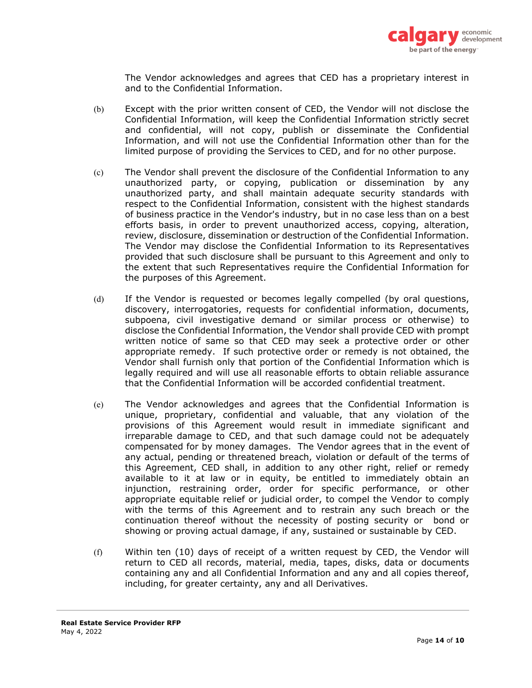

The Vendor acknowledges and agrees that CED has a proprietary interest in and to the Confidential Information.

- (b) Except with the prior written consent of CED, the Vendor will not disclose the Confidential Information, will keep the Confidential Information strictly secret and confidential, will not copy, publish or disseminate the Confidential Information, and will not use the Confidential Information other than for the limited purpose of providing the Services to CED, and for no other purpose.
- (c) The Vendor shall prevent the disclosure of the Confidential Information to any unauthorized party, or copying, publication or dissemination by any unauthorized party, and shall maintain adequate security standards with respect to the Confidential Information, consistent with the highest standards of business practice in the Vendor's industry, but in no case less than on a best efforts basis, in order to prevent unauthorized access, copying, alteration, review, disclosure, dissemination or destruction of the Confidential Information. The Vendor may disclose the Confidential Information to its Representatives provided that such disclosure shall be pursuant to this Agreement and only to the extent that such Representatives require the Confidential Information for the purposes of this Agreement.
- (d) If the Vendor is requested or becomes legally compelled (by oral questions, discovery, interrogatories, requests for confidential information, documents, subpoena, civil investigative demand or similar process or otherwise) to disclose the Confidential Information, the Vendor shall provide CED with prompt written notice of same so that CED may seek a protective order or other appropriate remedy. If such protective order or remedy is not obtained, the Vendor shall furnish only that portion of the Confidential Information which is legally required and will use all reasonable efforts to obtain reliable assurance that the Confidential Information will be accorded confidential treatment.
- (e) The Vendor acknowledges and agrees that the Confidential Information is unique, proprietary, confidential and valuable, that any violation of the provisions of this Agreement would result in immediate significant and irreparable damage to CED, and that such damage could not be adequately compensated for by money damages. The Vendor agrees that in the event of any actual, pending or threatened breach, violation or default of the terms of this Agreement, CED shall, in addition to any other right, relief or remedy available to it at law or in equity, be entitled to immediately obtain an injunction, restraining order, order for specific performance, or other appropriate equitable relief or judicial order, to compel the Vendor to comply with the terms of this Agreement and to restrain any such breach or the continuation thereof without the necessity of posting security or bond or showing or proving actual damage, if any, sustained or sustainable by CED.
- (f) Within ten (10) days of receipt of a written request by CED, the Vendor will return to CED all records, material, media, tapes, disks, data or documents containing any and all Confidential Information and any and all copies thereof, including, for greater certainty, any and all Derivatives.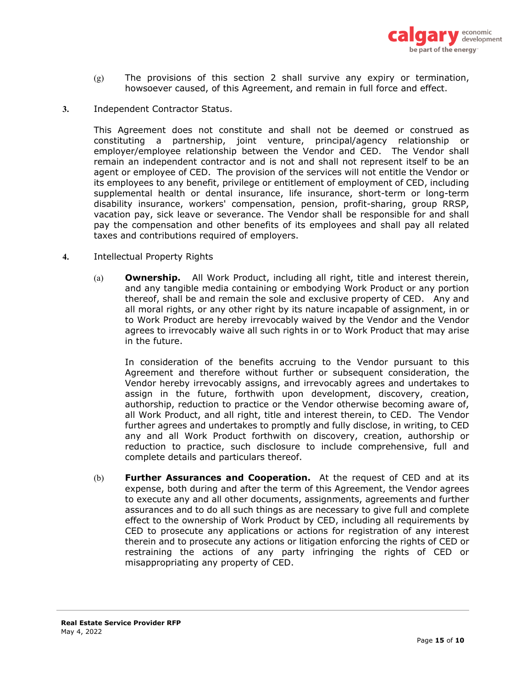

- $(g)$  The provisions of this section 2 shall survive any expiry or termination, howsoever caused, of this Agreement, and remain in full force and effect.
- **3.** Independent Contractor Status.

This Agreement does not constitute and shall not be deemed or construed as constituting a partnership, joint venture, principal/agency relationship or employer/employee relationship between the Vendor and CED. The Vendor shall remain an independent contractor and is not and shall not represent itself to be an agent or employee of CED. The provision of the services will not entitle the Vendor or its employees to any benefit, privilege or entitlement of employment of CED, including supplemental health or dental insurance, life insurance, short-term or long-term disability insurance, workers' compensation, pension, profit-sharing, group RRSP, vacation pay, sick leave or severance. The Vendor shall be responsible for and shall pay the compensation and other benefits of its employees and shall pay all related taxes and contributions required of employers.

- **4.** Intellectual Property Rights
	- (a) **Ownership.** All Work Product, including all right, title and interest therein, and any tangible media containing or embodying Work Product or any portion thereof, shall be and remain the sole and exclusive property of CED. Any and all moral rights, or any other right by its nature incapable of assignment, in or to Work Product are hereby irrevocably waived by the Vendor and the Vendor agrees to irrevocably waive all such rights in or to Work Product that may arise in the future.

In consideration of the benefits accruing to the Vendor pursuant to this Agreement and therefore without further or subsequent consideration, the Vendor hereby irrevocably assigns, and irrevocably agrees and undertakes to assign in the future, forthwith upon development, discovery, creation, authorship, reduction to practice or the Vendor otherwise becoming aware of, all Work Product, and all right, title and interest therein, to CED. The Vendor further agrees and undertakes to promptly and fully disclose, in writing, to CED any and all Work Product forthwith on discovery, creation, authorship or reduction to practice, such disclosure to include comprehensive, full and complete details and particulars thereof.

(b) **Further Assurances and Cooperation.** At the request of CED and at its expense, both during and after the term of this Agreement, the Vendor agrees to execute any and all other documents, assignments, agreements and further assurances and to do all such things as are necessary to give full and complete effect to the ownership of Work Product by CED, including all requirements by CED to prosecute any applications or actions for registration of any interest therein and to prosecute any actions or litigation enforcing the rights of CED or restraining the actions of any party infringing the rights of CED or misappropriating any property of CED.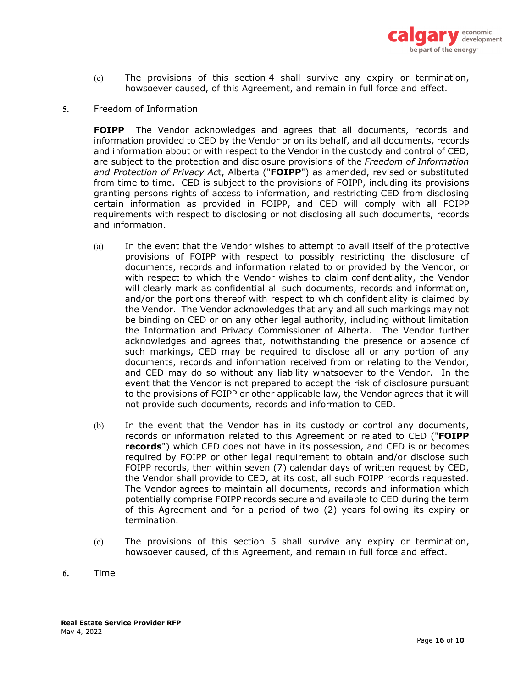

- (c) The provisions of this section 4 shall survive any expiry or termination, howsoever caused, of this Agreement, and remain in full force and effect.
- **5.** Freedom of Information

**FOIPP** The Vendor acknowledges and agrees that all documents, records and information provided to CED by the Vendor or on its behalf, and all documents, records and information about or with respect to the Vendor in the custody and control of CED, are subject to the protection and disclosure provisions of the *Freedom of Information and Protection of Privacy Ac*t, Alberta ("**FOIPP**") as amended, revised or substituted from time to time. CED is subject to the provisions of FOIPP, including its provisions granting persons rights of access to information, and restricting CED from disclosing certain information as provided in FOIPP, and CED will comply with all FOIPP requirements with respect to disclosing or not disclosing all such documents, records and information.

- (a) In the event that the Vendor wishes to attempt to avail itself of the protective provisions of FOIPP with respect to possibly restricting the disclosure of documents, records and information related to or provided by the Vendor, or with respect to which the Vendor wishes to claim confidentiality, the Vendor will clearly mark as confidential all such documents, records and information, and/or the portions thereof with respect to which confidentiality is claimed by the Vendor. The Vendor acknowledges that any and all such markings may not be binding on CED or on any other legal authority, including without limitation the Information and Privacy Commissioner of Alberta. The Vendor further acknowledges and agrees that, notwithstanding the presence or absence of such markings, CED may be required to disclose all or any portion of any documents, records and information received from or relating to the Vendor, and CED may do so without any liability whatsoever to the Vendor. In the event that the Vendor is not prepared to accept the risk of disclosure pursuant to the provisions of FOIPP or other applicable law, the Vendor agrees that it will not provide such documents, records and information to CED.
- (b) In the event that the Vendor has in its custody or control any documents, records or information related to this Agreement or related to CED ("**FOIPP records**") which CED does not have in its possession, and CED is or becomes required by FOIPP or other legal requirement to obtain and/or disclose such FOIPP records, then within seven (7) calendar days of written request by CED, the Vendor shall provide to CED, at its cost, all such FOIPP records requested. The Vendor agrees to maintain all documents, records and information which potentially comprise FOIPP records secure and available to CED during the term of this Agreement and for a period of two (2) years following its expiry or termination.
- (c) The provisions of this section 5 shall survive any expiry or termination, howsoever caused, of this Agreement, and remain in full force and effect.
- **6.** Time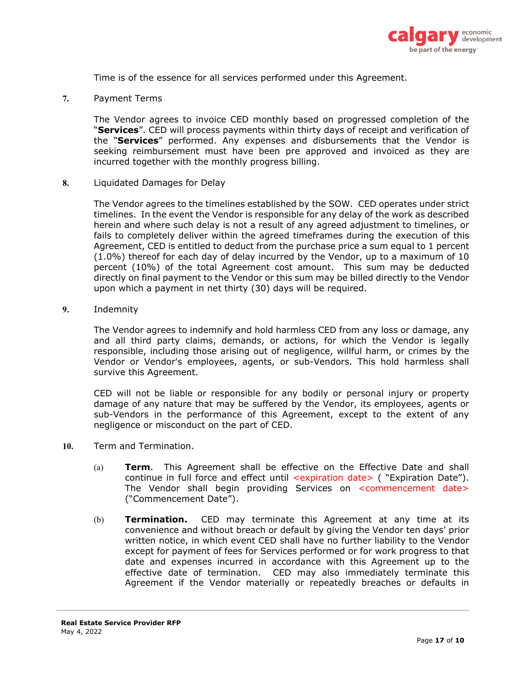

Time is of the essence for all services performed under this Agreement.

**7.** Payment Terms

The Vendor agrees to invoice CED monthly based on progressed completion of the "**Services**". CED will process payments within thirty days of receipt and verification of the "**Services**" performed. Any expenses and disbursements that the Vendor is seeking reimbursement must have been pre approved and invoiced as they are incurred together with the monthly progress billing.

**8.** Liquidated Damages for Delay

The Vendor agrees to the timelines established by the SOW. CED operates under strict timelines. In the event the Vendor is responsible for any delay of the work as described herein and where such delay is not a result of any agreed adjustment to timelines, or fails to completely deliver within the agreed timeframes during the execution of this Agreement, CED is entitled to deduct from the purchase price a sum equal to 1 percent (1.0%) thereof for each day of delay incurred by the Vendor, up to a maximum of 10 percent (10%) of the total Agreement cost amount. This sum may be deducted directly on final payment to the Vendor or this sum may be billed directly to the Vendor upon which a payment in net thirty (30) days will be required.

**9.** Indemnity

The Vendor agrees to indemnify and hold harmless CED from any loss or damage, any and all third party claims, demands, or actions, for which the Vendor is legally responsible, including those arising out of negligence, willful harm, or crimes by the Vendor or Vendor's employees, agents, or sub-Vendors. This hold harmless shall survive this Agreement.

CED will not be liable or responsible for any bodily or personal injury or property damage of any nature that may be suffered by the Vendor, its employees, agents or sub-Vendors in the performance of this Agreement, except to the extent of any negligence or misconduct on the part of CED.

- **10.** Term and Termination.
	- (a) **Term**. This Agreement shall be effective on the Effective Date and shall continue in full force and effect until <expiration date> ( "Expiration Date"). The Vendor shall begin providing Services on <commencement date> ("Commencement Date").
	- (b) **Termination.** CED may terminate this Agreement at any time at its convenience and without breach or default by giving the Vendor ten days' prior written notice, in which event CED shall have no further liability to the Vendor except for payment of fees for Services performed or for work progress to that date and expenses incurred in accordance with this Agreement up to the effective date of termination. CED may also immediately terminate this Agreement if the Vendor materially or repeatedly breaches or defaults in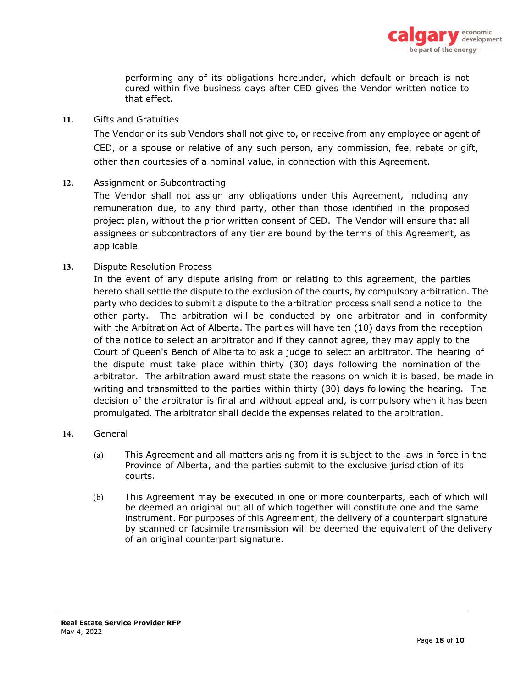

performing any of its obligations hereunder, which default or breach is not cured within five business days after CED gives the Vendor written notice to that effect.

#### **11.** Gifts and Gratuities

The Vendor or its sub Vendors shall not give to, or receive from any employee or agent of CED, or a spouse or relative of any such person, any commission, fee, rebate or gift, other than courtesies of a nominal value, in connection with this Agreement.

**12.** Assignment or Subcontracting

The Vendor shall not assign any obligations under this Agreement, including any remuneration due, to any third party, other than those identified in the proposed project plan, without the prior written consent of CED. The Vendor will ensure that all assignees or subcontractors of any tier are bound by the terms of this Agreement, as applicable.

**13.** Dispute Resolution Process

In the event of any dispute arising from or relating to this agreement, the parties hereto shall settle the dispute to the exclusion of the courts, by compulsory arbitration. The party who decides to submit a dispute to the arbitration process shall send a notice to the other party. The arbitration will be conducted by one arbitrator and in conformity with the Arbitration Act of Alberta. The parties will have ten (10) days from the reception of the notice to select an arbitrator and if they cannot agree, they may apply to the Court of Queen's Bench of Alberta to ask a judge to select an arbitrator. The hearing of the dispute must take place within thirty (30) days following the nomination of the arbitrator. The arbitration award must state the reasons on which it is based, be made in writing and transmitted to the parties within thirty (30) days following the hearing. The decision of the arbitrator is final and without appeal and, is compulsory when it has been promulgated. The arbitrator shall decide the expenses related to the arbitration.

- **14.** General
	- (a) This Agreement and all matters arising from it is subject to the laws in force in the Province of Alberta, and the parties submit to the exclusive jurisdiction of its courts.
	- (b) This Agreement may be executed in one or more counterparts, each of which will be deemed an original but all of which together will constitute one and the same instrument. For purposes of this Agreement, the delivery of a counterpart signature by scanned or facsimile transmission will be deemed the equivalent of the delivery of an original counterpart signature.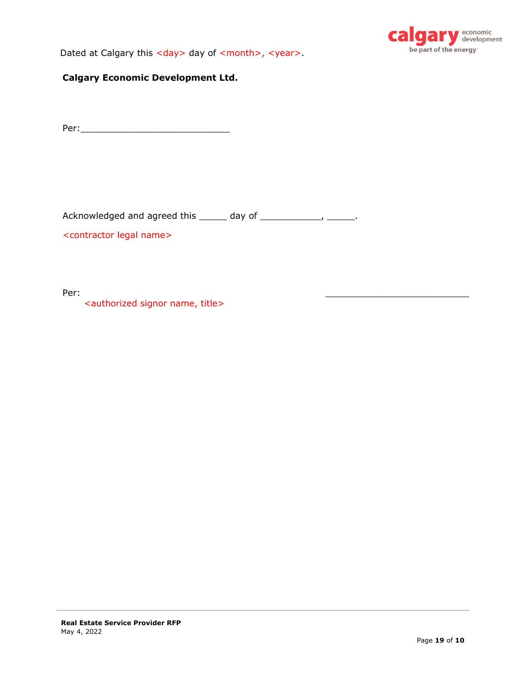Dated at Calgary this <day> day of <month>, <year>.



## **Calgary Economic Development Ltd.**

Per:\_\_\_\_\_\_\_\_\_\_\_\_\_\_\_\_\_\_\_\_\_\_\_\_\_\_\_

Acknowledged and agreed this \_\_\_\_\_\_ day of \_\_\_\_\_\_\_\_\_\_\_\_, \_\_\_\_\_\_.

<contractor legal name>

Per: \_\_\_\_\_\_\_\_\_\_\_\_\_\_\_\_\_\_\_\_\_\_\_\_\_\_

<authorized signor name, title>